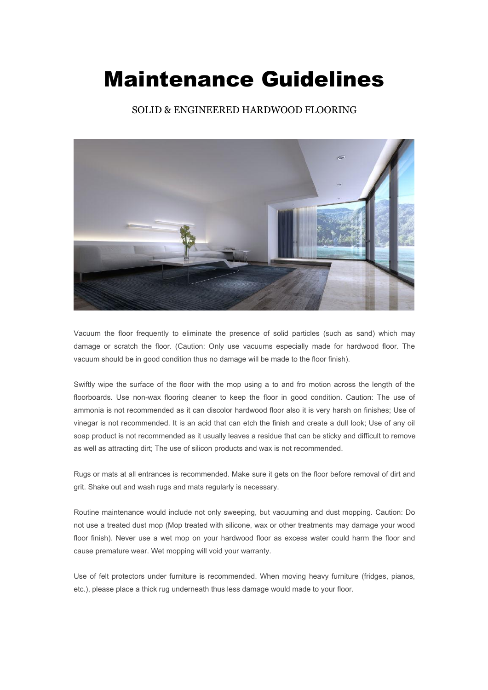## Maintenance Guidelines

SOLID & ENGINEERED HARDWOOD FLOORING



Vacuum the floor frequently to eliminate the presence of solid particles (such as sand) which may damage or scratch the floor. (Caution: Only use vacuums especially made for hardwood floor. The vacuum should be in good condition thus no damage will be made to the floor finish).

Swiftly wipe the surface of the floor with the mop using a to and fro motion across the length of the floorboards. Use non-wax flooring cleaner to keep the floor in good condition. Caution: The use of ammonia is not recommended as it can discolor hardwood floor also it is very harsh on finishes; Use of vinegar is not recommended. It is an acid that can etch the finish and create a dull look; Use of any oil soap product is not recommended as it usually leaves a residue that can be sticky and difficult to remove as well as attracting dirt; The use of silicon products and wax is not recommended.

Rugs or mats at all entrances is recommended. Make sure it gets on the floor before removal of dirt and grit. Shake out and wash rugs and mats regularly is necessary.

Routine maintenance would include not only sweeping, but vacuuming and dust mopping. Caution: Do not use a treated dust mop (Mop treated with silicone, wax or other treatments may damage your wood floor finish). Never use a wet mop on your hardwood floor as excess water could harm the floor and cause premature wear. Wet mopping will void your warranty.

Use of felt protectors under furniture is recommended. When moving heavy furniture (fridges, pianos, etc.), please place a thick rug underneath thus less damage would made to your floor.